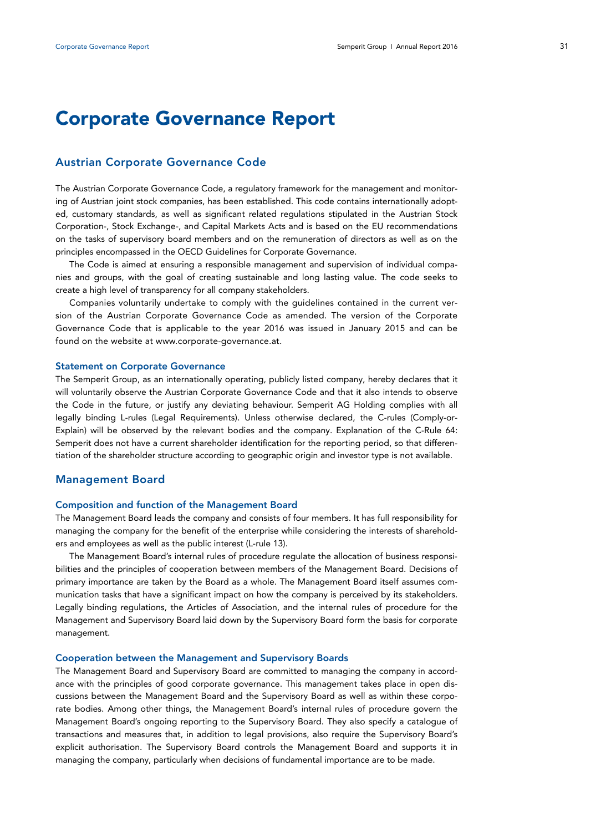# **Corporate Governance Report**

## **Austrian Corporate Governance Code**

The Austrian Corporate Governance Code, a regulatory framework for the management and monitoring of Austrian joint stock companies, has been established. This code contains internationally adopted, customary standards, as well as significant related regulations stipulated in the Austrian Stock Corporation-, Stock Exchange-, and Capital Markets Acts and is based on the EU recommendations on the tasks of supervisory board members and on the remuneration of directors as well as on the principles encompassed in the OECD Guidelines for Corporate Governance.

The Code is aimed at ensuring a responsible management and supervision of individual companies and groups, with the goal of creating sustainable and long lasting value. The code seeks to create a high level of transparency for all company stakeholders.

Companies voluntarily undertake to comply with the guidelines contained in the current version of the Austrian Corporate Governance Code as amended. The version of the Corporate Governance Code that is applicable to the year 2016 was issued in January 2015 and can be found on the website at www.corporate-governance.at.

#### **Statement on Corporate Governance**

The Semperit Group, as an internationally operating, publicly listed company, hereby declares that it will voluntarily observe the Austrian Corporate Governance Code and that it also intends to observe the Code in the future, or justify any deviating behaviour. Semperit AG Holding complies with all legally binding L-rules (Legal Requirements). Unless otherwise declared, the C-rules (Comply-or-Explain) will be observed by the relevant bodies and the company. Explanation of the C-Rule 64: Semperit does not have a current shareholder identification for the reporting period, so that differentiation of the shareholder structure according to geographic origin and investor type is not available.

## **Management Board**

#### **Composition and function of the Management Board**

The Management Board leads the company and consists of four members. It has full responsibility for managing the company for the benefit of the enterprise while considering the interests of shareholders and employees as well as the public interest (L-rule 13).

The Management Board's internal rules of procedure regulate the allocation of business responsibilities and the principles of cooperation between members of the Management Board. Decisions of primary importance are taken by the Board as a whole. The Management Board itself assumes communication tasks that have a significant impact on how the company is perceived by its stakeholders. Legally binding regulations, the Articles of Association, and the internal rules of procedure for the Management and Supervisory Board laid down by the Supervisory Board form the basis for corporate management.

#### **Cooperation between the Management and Supervisory Boards**

The Management Board and Supervisory Board are committed to managing the company in accordance with the principles of good corporate governance. This management takes place in open discussions between the Management Board and the Supervisory Board as well as within these corporate bodies. Among other things, the Management Board's internal rules of procedure govern the Management Board's ongoing reporting to the Supervisory Board. They also specify a catalogue of transactions and measures that, in addition to legal provisions, also require the Supervisory Board's explicit authorisation. The Supervisory Board controls the Management Board and supports it in managing the company, particularly when decisions of fundamental importance are to be made.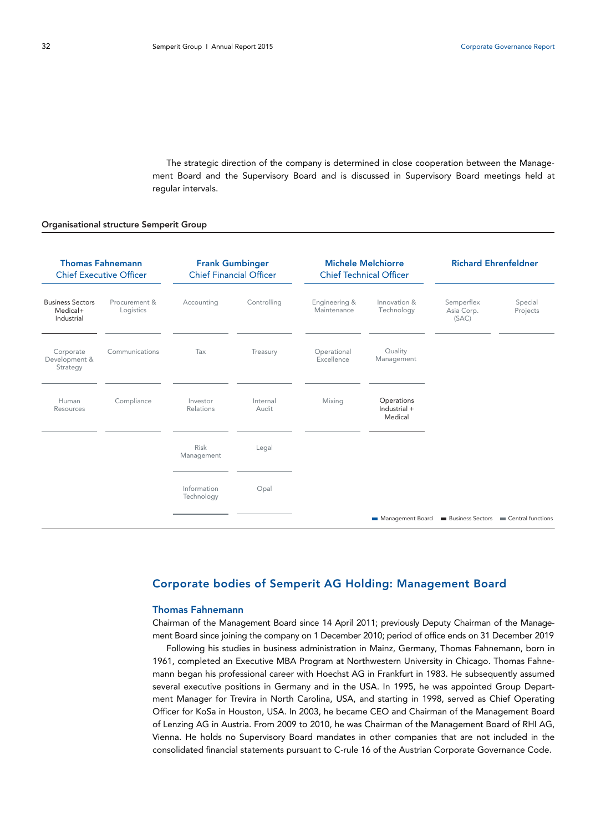The strategic direction of the company is determined in close cooperation between the Management Board and the Supervisory Board and is discussed in Supervisory Board meetings held at regular intervals.

#### Organisational structure Semperit Group

| <b>Thomas Fahnemann</b><br><b>Chief Executive Officer</b> |                            | <b>Frank Gumbinger</b><br><b>Chief Financial Officer</b> |                   | <b>Michele Melchiorre</b><br><b>Chief Technical Officer</b> |                                       | <b>Richard Ehrenfeldner</b>       |                                                     |
|-----------------------------------------------------------|----------------------------|----------------------------------------------------------|-------------------|-------------------------------------------------------------|---------------------------------------|-----------------------------------|-----------------------------------------------------|
| <b>Business Sectors</b><br>Medical+<br>Industrial         | Procurement &<br>Logistics | Accounting                                               | Controlling       | Engineering &<br>Maintenance                                | Innovation &<br>Technology            | Semperflex<br>Asia Corp.<br>(SAC) | Special<br>Projects                                 |
| Corporate<br>Development &<br>Strategy                    | Communications             | Tax                                                      | Treasury          | Operational<br>Excellence                                   | Quality<br>Management                 |                                   |                                                     |
| Human<br>Resources                                        | Compliance                 | Investor<br>Relations                                    | Internal<br>Audit | Mixing                                                      | Operations<br>Industrial +<br>Medical |                                   |                                                     |
|                                                           |                            | Risk<br>Management                                       | Legal             |                                                             |                                       |                                   |                                                     |
|                                                           |                            | Information<br>Technology                                | Opal              |                                                             |                                       |                                   |                                                     |
|                                                           |                            |                                                          |                   |                                                             | Management Board                      |                                   | <b>Business Sectors Example 2</b> Central functions |

# **Corporate bodies of Semperit AG Holding: Management Board**

## **Thomas Fahnemann**

Chairman of the Management Board since 14 April 2011; previously Deputy Chairman of the Management Board since joining the company on 1 December 2010; period of office ends on 31 December 2019

Following his studies in business administration in Mainz, Germany, Thomas Fahnemann, born in 1961, completed an Executive MBA Program at Northwestern University in Chicago. Thomas Fahnemann began his professional career with Hoechst AG in Frankfurt in 1983. He subsequently assumed several executive positions in Germany and in the USA. In 1995, he was appointed Group Department Manager for Trevira in North Carolina, USA, and starting in 1998, served as Chief Operating Officer for KoSa in Houston, USA. In 2003, he became CEO and Chairman of the Management Board of Lenzing AG in Austria. From 2009 to 2010, he was Chairman of the Management Board of RHI AG, Vienna. He holds no Supervisory Board mandates in other companies that are not included in the consolidated financial statements pursuant to C-rule 16 of the Austrian Corporate Governance Code.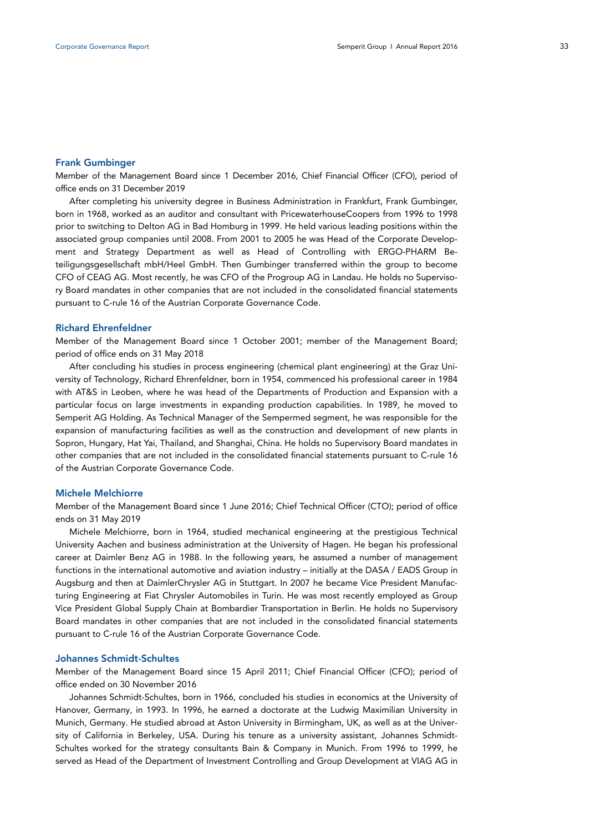#### **Frank Gumbinger**

Member of the Management Board since 1 December 2016, Chief Financial Officer (CFO), period of office ends on 31 December 2019

After completing his university degree in Business Administration in Frankfurt, Frank Gumbinger, born in 1968, worked as an auditor and consultant with PricewaterhouseCoopers from 1996 to 1998 prior to switching to Delton AG in Bad Homburg in 1999. He held various leading positions within the associated group companies until 2008. From 2001 to 2005 he was Head of the Corporate Development and Strategy Department as well as Head of Controlling with ERGO-PHARM Beteiligungsgesellschaft mbH/Heel GmbH. Then Gumbinger transferred within the group to become CFO of CEAG AG. Most recently, he was CFO of the Progroup AG in Landau. He holds no Supervisory Board mandates in other companies that are not included in the consolidated financial statements pursuant to C-rule 16 of the Austrian Corporate Governance Code.

#### **Richard Ehrenfeldner**

Member of the Management Board since 1 October 2001; member of the Management Board; period of office ends on 31 May 2018

After concluding his studies in process engineering (chemical plant engineering) at the Graz University of Technology, Richard Ehrenfeldner, born in 1954, commenced his professional career in 1984 with AT&S in Leoben, where he was head of the Departments of Production and Expansion with a particular focus on large investments in expanding production capabilities. In 1989, he moved to Semperit AG Holding. As Technical Manager of the Sempermed segment, he was responsible for the expansion of manufacturing facilities as well as the construction and development of new plants in Sopron, Hungary, Hat Yai, Thailand, and Shanghai, China. He holds no Supervisory Board mandates in other companies that are not included in the consolidated financial statements pursuant to C-rule 16 of the Austrian Corporate Governance Code.

## **Michele Melchiorre**

Member of the Management Board since 1 June 2016; Chief Technical Officer (CTO); period of office ends on 31 May 2019

Michele Melchiorre, born in 1964, studied mechanical engineering at the prestigious Technical University Aachen and business administration at the University of Hagen. He began his professional career at Daimler Benz AG in 1988. In the following years, he assumed a number of management functions in the international automotive and aviation industry – initially at the DASA / EADS Group in Augsburg and then at DaimlerChrysler AG in Stuttgart. In 2007 he became Vice President Manufacturing Engineering at Fiat Chrysler Automobiles in Turin. He was most recently employed as Group Vice President Global Supply Chain at Bombardier Transportation in Berlin. He holds no Supervisory Board mandates in other companies that are not included in the consolidated financial statements pursuant to C-rule 16 of the Austrian Corporate Governance Code.

## **Johannes Schmidt-Schultes**

Member of the Management Board since 15 April 2011; Chief Financial Officer (CFO); period of office ended on 30 November 2016

Johannes Schmidt-Schultes, born in 1966, concluded his studies in economics at the University of Hanover, Germany, in 1993. In 1996, he earned a doctorate at the Ludwig Maximilian University in Munich, Germany. He studied abroad at Aston University in Birmingham, UK, as well as at the University of California in Berkeley, USA. During his tenure as a university assistant, Johannes Schmidt-Schultes worked for the strategy consultants Bain & Company in Munich. From 1996 to 1999, he served as Head of the Department of Investment Controlling and Group Development at VIAG AG in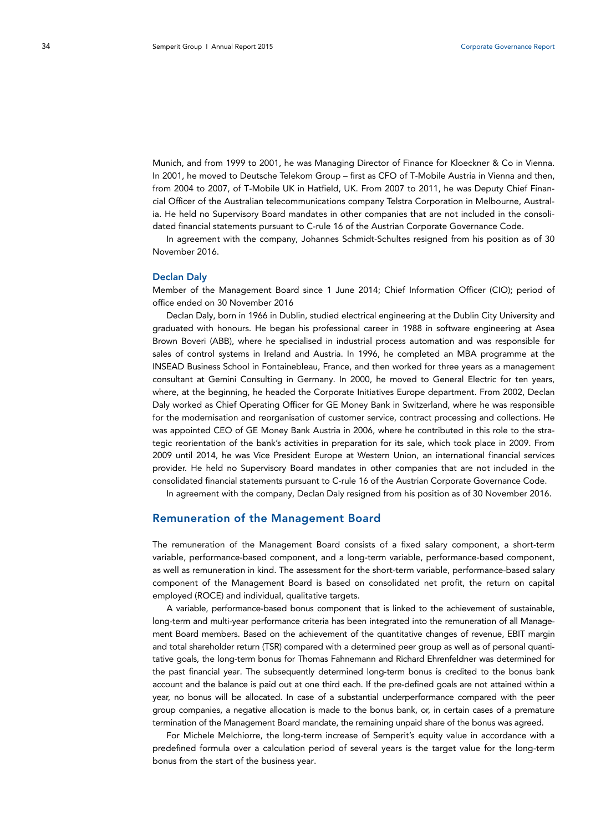Munich, and from 1999 to 2001, he was Managing Director of Finance for Kloeckner & Co in Vienna. In 2001, he moved to Deutsche Telekom Group – first as CFO of T-Mobile Austria in Vienna and then, from 2004 to 2007, of T-Mobile UK in Hatfield, UK. From 2007 to 2011, he was Deputy Chief Financial Officer of the Australian telecommunications company Telstra Corporation in Melbourne, Australia. He held no Supervisory Board mandates in other companies that are not included in the consolidated financial statements pursuant to C-rule 16 of the Austrian Corporate Governance Code.

In agreement with the company, Johannes Schmidt-Schultes resigned from his position as of 30 November 2016.

## **Declan Daly**

Member of the Management Board since 1 June 2014; Chief Information Officer (CIO); period of office ended on 30 November 2016

Declan Daly, born in 1966 in Dublin, studied electrical engineering at the Dublin City University and graduated with honours. He began his professional career in 1988 in software engineering at Asea Brown Boveri (ABB), where he specialised in industrial process automation and was responsible for sales of control systems in Ireland and Austria. In 1996, he completed an MBA programme at the INSEAD Business School in Fontainebleau, France, and then worked for three years as a management consultant at Gemini Consulting in Germany. In 2000, he moved to General Electric for ten years, where, at the beginning, he headed the Corporate Initiatives Europe department. From 2002, Declan Daly worked as Chief Operating Officer for GE Money Bank in Switzerland, where he was responsible for the modernisation and reorganisation of customer service, contract processing and collections. He was appointed CEO of GE Money Bank Austria in 2006, where he contributed in this role to the strategic reorientation of the bank's activities in preparation for its sale, which took place in 2009. From 2009 until 2014, he was Vice President Europe at Western Union, an international financial services provider. He held no Supervisory Board mandates in other companies that are not included in the consolidated financial statements pursuant to C-rule 16 of the Austrian Corporate Governance Code.

In agreement with the company, Declan Daly resigned from his position as of 30 November 2016.

## **Remuneration of the Management Board**

The remuneration of the Management Board consists of a fixed salary component, a short-term variable, performance-based component, and a long-term variable, performance-based component, as well as remuneration in kind. The assessment for the short-term variable, performance-based salary component of the Management Board is based on consolidated net profit, the return on capital employed (ROCE) and individual, qualitative targets.

A variable, performance-based bonus component that is linked to the achievement of sustainable, long-term and multi-year performance criteria has been integrated into the remuneration of all Management Board members. Based on the achievement of the quantitative changes of revenue, EBIT margin and total shareholder return (TSR) compared with a determined peer group as well as of personal quantitative goals, the long-term bonus for Thomas Fahnemann and Richard Ehrenfeldner was determined for the past financial year. The subsequently determined long-term bonus is credited to the bonus bank account and the balance is paid out at one third each. If the pre-defined goals are not attained within a year, no bonus will be allocated. In case of a substantial underperformance compared with the peer group companies, a negative allocation is made to the bonus bank, or, in certain cases of a premature termination of the Management Board mandate, the remaining unpaid share of the bonus was agreed.

For Michele Melchiorre, the long-term increase of Semperit's equity value in accordance with a predefined formula over a calculation period of several years is the target value for the long-term bonus from the start of the business year.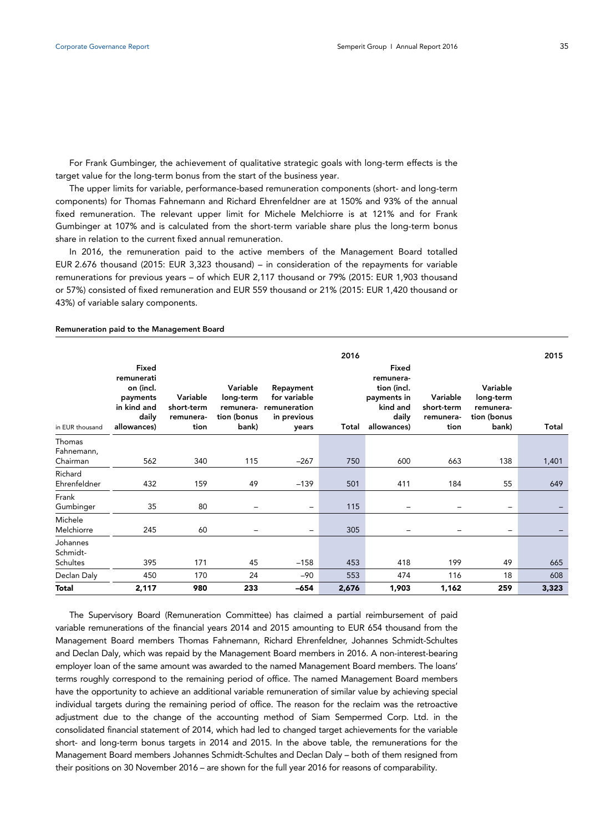For Frank Gumbinger, the achievement of qualitative strategic goals with long-term effects is the target value for the long-term bonus from the start of the business year.

The upper limits for variable, performance-based remuneration components (short- and long-term components) for Thomas Fahnemann and Richard Ehrenfeldner are at 150% and 93% of the annual fixed remuneration. The relevant upper limit for Michele Melchiorre is at 121% and for Frank Gumbinger at 107% and is calculated from the short-term variable share plus the long-term bonus share in relation to the current fixed annual remuneration.

In 2016, the remuneration paid to the active members of the Management Board totalled EUR 2.676 thousand (2015: EUR 3,323 thousand) – in consideration of the repayments for variable remunerations for previous years – of which EUR 2,117 thousand or 79% (2015: EUR 1,903 thousand or 57%) consisted of fixed remuneration and EUR 559 thousand or 21% (2015: EUR 1,420 thousand or 43%) of variable salary components.

#### **Remuneration paid to the Management Board**

|                                         | 2016                                                                                |                                             |                                                            |                                                                   |       |                                                                                      | 2015                                        |                                                            |       |
|-----------------------------------------|-------------------------------------------------------------------------------------|---------------------------------------------|------------------------------------------------------------|-------------------------------------------------------------------|-------|--------------------------------------------------------------------------------------|---------------------------------------------|------------------------------------------------------------|-------|
| in EUR thousand                         | Fixed<br>remunerati<br>on (incl.<br>payments<br>in kind and<br>daily<br>allowances) | Variable<br>short-term<br>remunera-<br>tion | Variable<br>long-term<br>remunera-<br>tion (bonus<br>bank) | Repayment<br>for variable<br>remuneration<br>in previous<br>years | Total | Fixed<br>remunera-<br>tion (incl.<br>payments in<br>kind and<br>daily<br>allowances) | Variable<br>short-term<br>remunera-<br>tion | Variable<br>long-term<br>remunera-<br>tion (bonus<br>bank) | Total |
| Thomas<br>Fahnemann,<br>Chairman        | 562                                                                                 | 340                                         | 115                                                        | $-267$                                                            | 750   | 600                                                                                  | 663                                         | 138                                                        | 1,401 |
| Richard<br>Ehrenfeldner                 | 432                                                                                 | 159                                         | 49                                                         | $-139$                                                            | 501   | 411                                                                                  | 184                                         | 55                                                         | 649   |
| Frank<br>Gumbinger                      | 35                                                                                  | 80                                          | $\qquad \qquad$                                            | $\overline{\phantom{0}}$                                          | 115   | -                                                                                    |                                             | $\qquad \qquad -$                                          |       |
| Michele<br>Melchiorre                   | 245                                                                                 | 60                                          |                                                            | -                                                                 | 305   |                                                                                      |                                             | $\qquad \qquad -$                                          |       |
| Johannes<br>Schmidt-<br><b>Schultes</b> | 395                                                                                 | 171                                         | 45                                                         | $-158$                                                            | 453   | 418                                                                                  | 199                                         | 49                                                         | 665   |
| Declan Daly                             | 450                                                                                 | 170                                         | 24                                                         | $-90$                                                             | 553   | 474                                                                                  | 116                                         | 18                                                         | 608   |
| <b>Total</b>                            | 2,117                                                                               | 980                                         | 233                                                        | $-654$                                                            | 2,676 | 1,903                                                                                | 1,162                                       | 259                                                        | 3,323 |

The Supervisory Board (Remuneration Committee) has claimed a partial reimbursement of paid variable remunerations of the financial years 2014 and 2015 amounting to EUR 654 thousand from the Management Board members Thomas Fahnemann, Richard Ehrenfeldner, Johannes Schmidt-Schultes and Declan Daly, which was repaid by the Management Board members in 2016. A non-interest-bearing employer loan of the same amount was awarded to the named Management Board members. The loans' terms roughly correspond to the remaining period of office. The named Management Board members have the opportunity to achieve an additional variable remuneration of similar value by achieving special individual targets during the remaining period of office. The reason for the reclaim was the retroactive adjustment due to the change of the accounting method of Siam Sempermed Corp. Ltd. in the consolidated financial statement of 2014, which had led to changed target achievements for the variable short- and long-term bonus targets in 2014 and 2015. In the above table, the remunerations for the Management Board members Johannes Schmidt-Schultes and Declan Daly – both of them resigned from their positions on 30 November 2016 – are shown for the full year 2016 for reasons of comparability.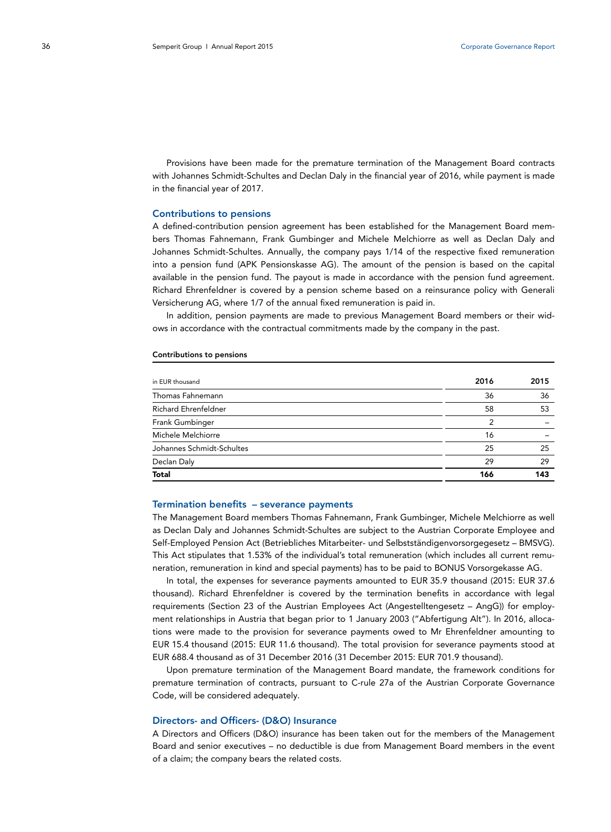Provisions have been made for the premature termination of the Management Board contracts with Johannes Schmidt-Schultes and Declan Daly in the financial year of 2016, while payment is made in the financial year of 2017.

## **Contributions to pensions**

A defined-contribution pension agreement has been established for the Management Board members Thomas Fahnemann, Frank Gumbinger and Michele Melchiorre as well as Declan Daly and Johannes Schmidt-Schultes. Annually, the company pays 1/14 of the respective fixed remuneration into a pension fund (APK Pensionskasse AG). The amount of the pension is based on the capital available in the pension fund. The payout is made in accordance with the pension fund agreement. Richard Ehrenfeldner is covered by a pension scheme based on a reinsurance policy with Generali Versicherung AG, where 1/7 of the annual fixed remuneration is paid in.

In addition, pension payments are made to previous Management Board members or their widows in accordance with the contractual commitments made by the company in the past.

#### **Contributions to pensions**

| in EUR thousand             | 2016 | 2015 |
|-----------------------------|------|------|
| Thomas Fahnemann            | 36   | 36   |
| <b>Richard Ehrenfeldner</b> | 58   | 53   |
| Frank Gumbinger             | 2    |      |
| Michele Melchiorre          | 16   |      |
| Johannes Schmidt-Schultes   | 25   | 25   |
| Declan Daly                 | 29   | 29   |
| <b>Total</b>                | 166  | 143  |

#### **Termination benefits – severance payments**

The Management Board members Thomas Fahnemann, Frank Gumbinger, Michele Melchiorre as well as Declan Daly and Johannes Schmidt-Schultes are subject to the Austrian Corporate Employee and Self-Employed Pension Act (Betriebliches Mitarbeiter- und Selbstständigenvorsorgegesetz – BMSVG). This Act stipulates that 1.53% of the individual's total remuneration (which includes all current remuneration, remuneration in kind and special payments) has to be paid to BONUS Vorsorgekasse AG.

In total, the expenses for severance payments amounted to EUR 35.9 thousand (2015: EUR 37.6 thousand). Richard Ehrenfeldner is covered by the termination benefits in accordance with legal requirements (Section 23 of the Austrian Employees Act (Angestelltengesetz – AngG)) for employment relationships in Austria that began prior to 1 January 2003 ("Abfertigung Alt"). In 2016, allocations were made to the provision for severance payments owed to Mr Ehrenfeldner amounting to EUR 15.4 thousand (2015: EUR 11.6 thousand). The total provision for severance payments stood at EUR 688.4 thousand as of 31 December 2016 (31 December 2015: EUR 701.9 thousand).

Upon premature termination of the Management Board mandate, the framework conditions for premature termination of contracts, pursuant to C-rule 27a of the Austrian Corporate Governance Code, will be considered adequately.

#### **Directors- and Officers- (D&O) Insurance**

A Directors and Officers (D&O) insurance has been taken out for the members of the Management Board and senior executives – no deductible is due from Management Board members in the event of a claim; the company bears the related costs.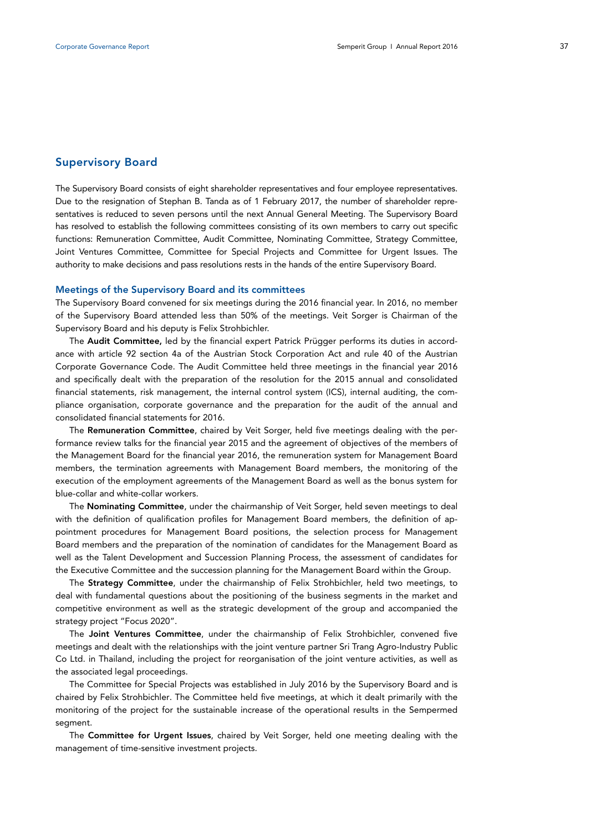## **Supervisory Board**

The Supervisory Board consists of eight shareholder representatives and four employee representatives. Due to the resignation of Stephan B. Tanda as of 1 February 2017, the number of shareholder representatives is reduced to seven persons until the next Annual General Meeting. The Supervisory Board has resolved to establish the following committees consisting of its own members to carry out specific functions: Remuneration Committee, Audit Committee, Nominating Committee, Strategy Committee, Joint Ventures Committee, Committee for Special Projects and Committee for Urgent Issues. The authority to make decisions and pass resolutions rests in the hands of the entire Supervisory Board.

#### **Meetings of the Supervisory Board and its committees**

The Supervisory Board convened for six meetings during the 2016 financial year. In 2016, no member of the Supervisory Board attended less than 50% of the meetings. Veit Sorger is Chairman of the Supervisory Board and his deputy is Felix Strohbichler.

The **Audit Committee,** led by the financial expert Patrick Prügger performs its duties in accordance with article 92 section 4a of the Austrian Stock Corporation Act and rule 40 of the Austrian Corporate Governance Code. The Audit Committee held three meetings in the financial year 2016 and specifically dealt with the preparation of the resolution for the 2015 annual and consolidated financial statements, risk management, the internal control system (ICS), internal auditing, the compliance organisation, corporate governance and the preparation for the audit of the annual and consolidated financial statements for 2016.

The **Remuneration Committee**, chaired by Veit Sorger, held five meetings dealing with the performance review talks for the financial year 2015 and the agreement of objectives of the members of the Management Board for the financial year 2016, the remuneration system for Management Board members, the termination agreements with Management Board members, the monitoring of the execution of the employment agreements of the Management Board as well as the bonus system for blue-collar and white-collar workers.

The **Nominating Committee**, under the chairmanship of Veit Sorger, held seven meetings to deal with the definition of qualification profiles for Management Board members, the definition of appointment procedures for Management Board positions, the selection process for Management Board members and the preparation of the nomination of candidates for the Management Board as well as the Talent Development and Succession Planning Process, the assessment of candidates for the Executive Committee and the succession planning for the Management Board within the Group.

The **Strategy Committee**, under the chairmanship of Felix Strohbichler, held two meetings, to deal with fundamental questions about the positioning of the business segments in the market and competitive environment as well as the strategic development of the group and accompanied the strategy project "Focus 2020".

The **Joint Ventures Committee**, under the chairmanship of Felix Strohbichler, convened five meetings and dealt with the relationships with the joint venture partner Sri Trang Agro-Industry Public Co Ltd. in Thailand, including the project for reorganisation of the joint venture activities, as well as the associated legal proceedings.

The Committee for Special Projects was established in July 2016 by the Supervisory Board and is chaired by Felix Strohbichler. The Committee held five meetings, at which it dealt primarily with the monitoring of the project for the sustainable increase of the operational results in the Sempermed segment.

The **Committee for Urgent Issues**, chaired by Veit Sorger, held one meeting dealing with the management of time-sensitive investment projects.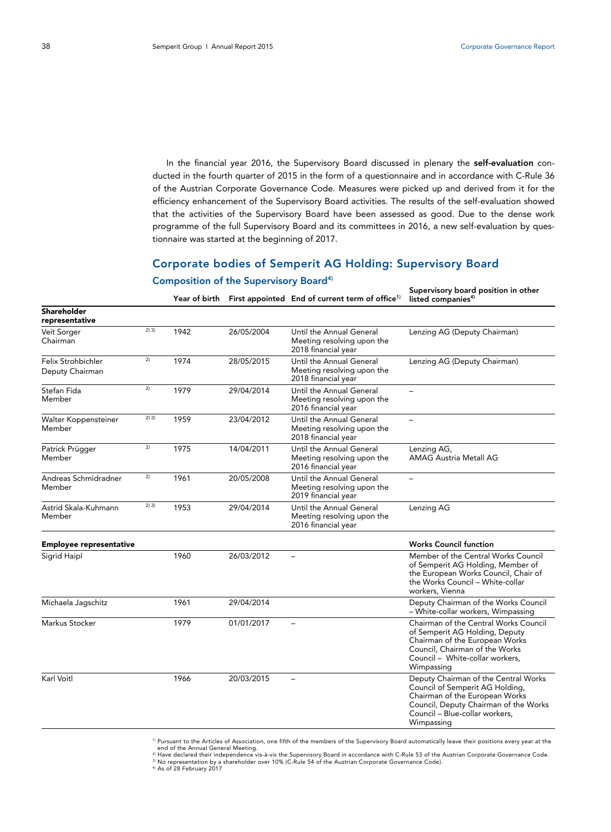In the financial year 2016, the Supervisory Board discussed in plenary the **self-evaluation** conducted in the fourth quarter of 2015 in the form of a questionnaire and in accordance with C-Rule 36 of the Austrian Corporate Governance Code. Measures were picked up and derived from it for the efficiency enhancement of the Supervisory Board activities. The results of the self-evaluation showed that the activities of the Supervisory Board have been assessed as good. Due to the dense work programme of the full Supervisory Board and its committees in 2016, a new self-evaluation by questionnaire was started at the beginning of 2017.

# **Corporate bodies of Semperit AG Holding: Supervisory Board**

#### **Shareholder representative**  Veit Sorger Chairman 2) 3) 1942 26/05/2004 Until the Annual General Meeting resolving upon the 2018 financial year Lenzing AG (Deputy Chairman) Felix Strohbichler Deputy Chairman  $2$  1974 28/05/2015 Until the Annual General Meeting resolving upon the 2018 financial year Lenzing AG (Deputy Chairman) Stefan Fida Member <sup>2)</sup> 1979 29/04/2014 Until the Annual General Meeting resolving upon the 2016 financial year – Walter Koppensteiner Member 2) 3) 1959 23/04/2012 Until the Annual General Meeting resolving upon the 2018 financial year – Patrick Prügger Member  $2$  1975 14/04/2011 Until the Annual General Meeting resolving upon the 2016 financial year Lenzing AG, AMAG Austria Metall AG Andreas Schmidradner Member <sup>2)</sup> 1961 20/05/2008 Until the Annual General Meeting resolving upon the 2019 financial year – Astrid Skala-Kuhmann Member  $2)$  3) 1953 29/04/2014 Until the Annual General Meeting resolving upon the 2016 financial year Lenzing AG **Employee representative Employee representative Employee representative Employee representative** Sigrid Haipl 1960 1960 26/03/2012 – Member of the Central Works Council of Semperit AG Holding, Member of the European Works Council, Chair of the Works Council – White-collar workers, Vienna Michaela Jagschitz 1961 29/04/2014 Deputy Chairman of the Works Council – White-collar workers, Wimpassing Markus Stocker 1979 1979 01/01/2017 – Chairman of the Central Works Council of Semperit AG Holding, Deputy Chairman of the European Works Council, Chairman of the Works Council – White-collar workers, Wimpassing Karl Voitl **1966** 20/03/2015 – Deputy Chairman of the Central Works Council of Semperit AG Holding, Chairman of the European Works Council, Deputy Chairman of the Works Council – Blue-collar workers, Wimpassing

**Composition of the Supervisory Board4)**

**Year of birth First appointed End of current term of office1)**

**Supervisory board position in other listed companies4)**

<sup>1)</sup> Pursuant to the Articles of Association, one fifth of the members of the Supervisory Board automatically leave their positions every year at the<br>end of the Annual General Meeting.

end of the Annual General Meeting.<br><sup>2)</sup> Have declared their independence vis-à-vis the Supervisory Board in accordance with C-Rule 53 of the Austrian Corporate Governance Code.<br><sup>3)</sup> No representation by a shareholder over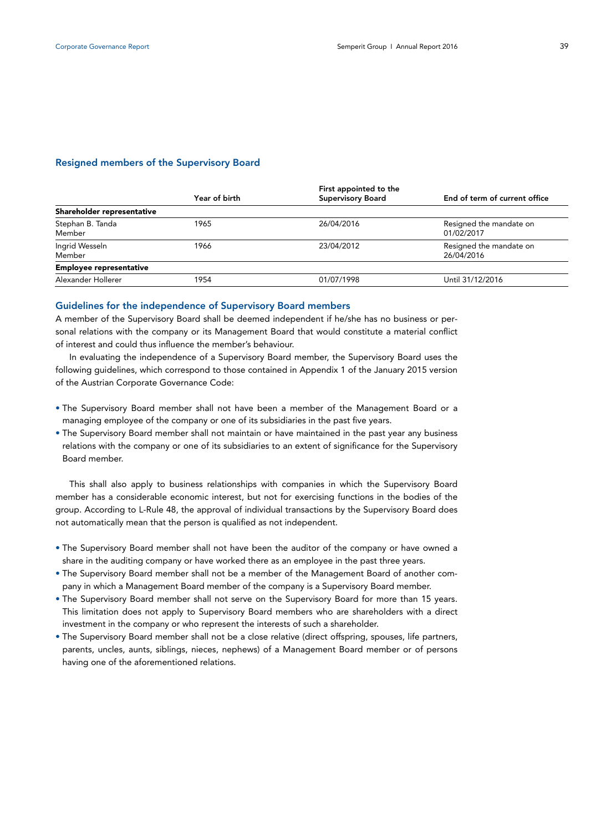## **Resigned members of the Supervisory Board**

|                                | Year of birth | First appointed to the<br><b>Supervisory Board</b> | End of term of current office         |
|--------------------------------|---------------|----------------------------------------------------|---------------------------------------|
| Shareholder representative     |               |                                                    |                                       |
| Stephan B. Tanda<br>Member     | 1965          | 26/04/2016                                         | Resigned the mandate on<br>01/02/2017 |
| Ingrid Wesseln<br>Member       | 1966          | 23/04/2012                                         | Resigned the mandate on<br>26/04/2016 |
| <b>Employee representative</b> |               |                                                    |                                       |
| Alexander Hollerer             | 1954          | 01/07/1998                                         | Until 31/12/2016                      |

#### **Guidelines for the independence of Supervisory Board members**

A member of the Supervisory Board shall be deemed independent if he/she has no business or personal relations with the company or its Management Board that would constitute a material conflict of interest and could thus influence the member's behaviour.

In evaluating the independence of a Supervisory Board member, the Supervisory Board uses the following guidelines, which correspond to those contained in Appendix 1 of the January 2015 version of the Austrian Corporate Governance Code:

- The Supervisory Board member shall not have been a member of the Management Board or a managing employee of the company or one of its subsidiaries in the past five years.
- The Supervisory Board member shall not maintain or have maintained in the past year any business relations with the company or one of its subsidiaries to an extent of significance for the Supervisory Board member.

This shall also apply to business relationships with companies in which the Supervisory Board member has a considerable economic interest, but not for exercising functions in the bodies of the group. According to L-Rule 48, the approval of individual transactions by the Supervisory Board does not automatically mean that the person is qualified as not independent.

- The Supervisory Board member shall not have been the auditor of the company or have owned a share in the auditing company or have worked there as an employee in the past three years.
- The Supervisory Board member shall not be a member of the Management Board of another company in which a Management Board member of the company is a Supervisory Board member.
- The Supervisory Board member shall not serve on the Supervisory Board for more than 15 years. This limitation does not apply to Supervisory Board members who are shareholders with a direct investment in the company or who represent the interests of such a shareholder.
- The Supervisory Board member shall not be a close relative (direct offspring, spouses, life partners, parents, uncles, aunts, siblings, nieces, nephews) of a Management Board member or of persons having one of the aforementioned relations.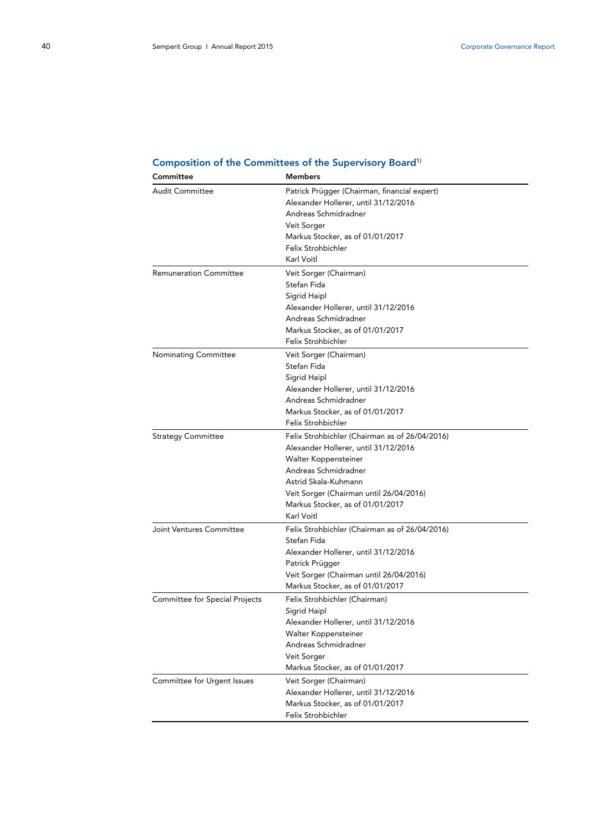| Committee                      | Members                                        |
|--------------------------------|------------------------------------------------|
| <b>Audit Committee</b>         | Patrick Prügger (Chairman, financial expert)   |
|                                | Alexander Hollerer, until 31/12/2016           |
|                                | Andreas Schmidradner                           |
|                                | Veit Sorger                                    |
|                                | Markus Stocker, as of 01/01/2017               |
|                                | Felix Strohbichler                             |
|                                | Karl Voitl                                     |
|                                |                                                |
| <b>Remuneration Committee</b>  | Veit Sorger (Chairman)                         |
|                                | Stefan Fida                                    |
|                                | Sigrid Haipl                                   |
|                                | Alexander Hollerer, until 31/12/2016           |
|                                | Andreas Schmidradner                           |
|                                | Markus Stocker, as of 01/01/2017               |
|                                | Felix Strohbichler                             |
| <b>Nominating Committee</b>    | Veit Sorger (Chairman)                         |
|                                | Stefan Fida                                    |
|                                | Sigrid Haipl                                   |
|                                | Alexander Hollerer, until 31/12/2016           |
|                                | Andreas Schmidradner                           |
|                                | Markus Stocker, as of 01/01/2017               |
|                                | Felix Strohbichler                             |
| <b>Strategy Committee</b>      | Felix Strohbichler (Chairman as of 26/04/2016) |
|                                |                                                |
|                                | Alexander Hollerer, until 31/12/2016           |
|                                | Walter Koppensteiner                           |
|                                | Andreas Schmidradner                           |
|                                | Astrid Skala-Kuhmann                           |
|                                | Veit Sorger (Chairman until 26/04/2016)        |
|                                | Markus Stocker, as of 01/01/2017               |
|                                | Karl Voitl                                     |
| Joint Ventures Committee       | Felix Strohbichler (Chairman as of 26/04/2016) |
|                                | Stefan Fida                                    |
|                                | Alexander Hollerer, until 31/12/2016           |
|                                | Patrick Prügger                                |
|                                | Veit Sorger (Chairman until 26/04/2016)        |
|                                | Markus Stocker, as of 01/01/2017               |
| Committee for Special Projects | Felix Strohbichler (Chairman)                  |
|                                | Sigrid Haipl                                   |
|                                | Alexander Hollerer, until 31/12/2016           |
|                                | Walter Koppensteiner                           |
|                                | Andreas Schmidradner                           |
|                                | Veit Sorger                                    |
|                                | Markus Stocker, as of 01/01/2017               |
|                                |                                                |
| Committee for Urgent Issues    | Veit Sorger (Chairman)                         |
|                                | Alexander Hollerer, until 31/12/2016           |
|                                | Markus Stocker, as of 01/01/2017               |
|                                | Felix Strohbichler                             |

## **Composition of the Committees of the Supervisory Board1)**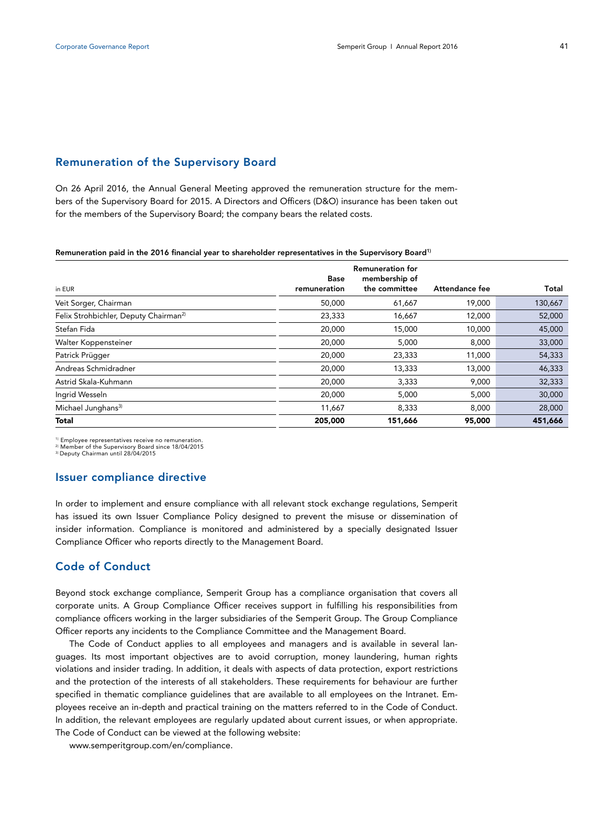## **Remuneration of the Supervisory Board**

On 26 April 2016, the Annual General Meeting approved the remuneration structure for the members of the Supervisory Board for 2015. A Directors and Officers (D&O) insurance has been taken out for the members of the Supervisory Board; the company bears the related costs.

#### **Remuneration paid in the 2016 financial year to shareholder representatives in the Supervisory Board1)**

|                                                   | <b>Base</b>  | <b>Remuneration for</b><br>membership of |                |         |
|---------------------------------------------------|--------------|------------------------------------------|----------------|---------|
| in EUR                                            | remuneration | the committee                            | Attendance fee | Total   |
| Veit Sorger, Chairman                             | 50,000       | 61,667                                   | 19,000         | 130,667 |
| Felix Strohbichler, Deputy Chairman <sup>2)</sup> | 23,333       | 16,667                                   | 12,000         | 52,000  |
| Stefan Fida                                       | 20,000       | 15,000                                   | 10,000         | 45,000  |
| Walter Koppensteiner                              | 20,000       | 5,000                                    | 8,000          | 33,000  |
| Patrick Prügger                                   | 20,000       | 23,333                                   | 11,000         | 54,333  |
| Andreas Schmidradner                              | 20,000       | 13,333                                   | 13,000         | 46,333  |
| Astrid Skala-Kuhmann                              | 20,000       | 3,333                                    | 9,000          | 32,333  |
| Ingrid Wesseln                                    | 20,000       | 5,000                                    | 5,000          | 30,000  |
| Michael Junghans <sup>3)</sup>                    | 11,667       | 8,333                                    | 8,000          | 28,000  |
| <b>Total</b>                                      | 205,000      | 151,666                                  | 95,000         | 451,666 |

<sup>1)</sup> Employee representatives receive no remuneration.<br><sup>2)</sup> Member of the Supervisory Board since 18/04/2015<br><sup>3)</sup> Deputy Chairman until 28/04/2015

## **Issuer compliance directive**

In order to implement and ensure compliance with all relevant stock exchange regulations, Semperit has issued its own Issuer Compliance Policy designed to prevent the misuse or dissemination of insider information. Compliance is monitored and administered by a specially designated Issuer Compliance Officer who reports directly to the Management Board.

# **Code of Conduct**

Beyond stock exchange compliance, Semperit Group has a compliance organisation that covers all corporate units. A Group Compliance Officer receives support in fulfilling his responsibilities from compliance officers working in the larger subsidiaries of the Semperit Group. The Group Compliance Officer reports any incidents to the Compliance Committee and the Management Board.

The Code of Conduct applies to all employees and managers and is available in several languages. Its most important objectives are to avoid corruption, money laundering, human rights violations and insider trading. In addition, it deals with aspects of data protection, export restrictions and the protection of the interests of all stakeholders. These requirements for behaviour are further specified in thematic compliance guidelines that are available to all employees on the Intranet. Employees receive an in-depth and practical training on the matters referred to in the Code of Conduct. In addition, the relevant employees are regularly updated about current issues, or when appropriate. The Code of Conduct can be viewed at the following website:

www.semperitgroup.com/en/compliance.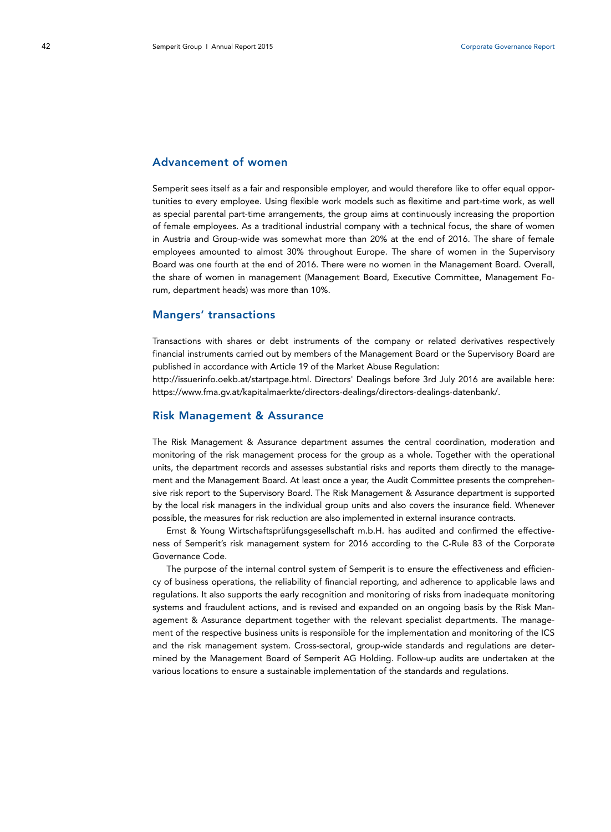## **Advancement of women**

Semperit sees itself as a fair and responsible employer, and would therefore like to offer equal opportunities to every employee. Using flexible work models such as flexitime and part-time work, as well as special parental part-time arrangements, the group aims at continuously increasing the proportion of female employees. As a traditional industrial company with a technical focus, the share of women in Austria and Group-wide was somewhat more than 20% at the end of 2016. The share of female employees amounted to almost 30% throughout Europe. The share of women in the Supervisory Board was one fourth at the end of 2016. There were no women in the Management Board. Overall, the share of women in management (Management Board, Executive Committee, Management Forum, department heads) was more than 10%.

## **Mangers' transactions**

Transactions with shares or debt instruments of the company or related derivatives respectively financial instruments carried out by members of the Management Board or the Supervisory Board are published in accordance with Article 19 of the Market Abuse Regulation:

http://issuerinfo.oekb.at/startpage.html. Directors' Dealings before 3rd July 2016 are available here: https://www.fma.gv.at/kapitalmaerkte/directors-dealings/directors-dealings-datenbank/.

## **Risk Management & Assurance**

The Risk Management & Assurance department assumes the central coordination, moderation and monitoring of the risk management process for the group as a whole. Together with the operational units, the department records and assesses substantial risks and reports them directly to the management and the Management Board. At least once a year, the Audit Committee presents the comprehensive risk report to the Supervisory Board. The Risk Management & Assurance department is supported by the local risk managers in the individual group units and also covers the insurance field. Whenever possible, the measures for risk reduction are also implemented in external insurance contracts.

Ernst & Young Wirtschaftsprüfungsgesellschaft m.b.H. has audited and confirmed the effectiveness of Semperit's risk management system for 2016 according to the C-Rule 83 of the Corporate Governance Code.

The purpose of the internal control system of Semperit is to ensure the effectiveness and efficiency of business operations, the reliability of financial reporting, and adherence to applicable laws and regulations. It also supports the early recognition and monitoring of risks from inadequate monitoring systems and fraudulent actions, and is revised and expanded on an ongoing basis by the Risk Management & Assurance department together with the relevant specialist departments. The management of the respective business units is responsible for the implementation and monitoring of the ICS and the risk management system. Cross-sectoral, group-wide standards and regulations are determined by the Management Board of Semperit AG Holding. Follow-up audits are undertaken at the various locations to ensure a sustainable implementation of the standards and regulations.